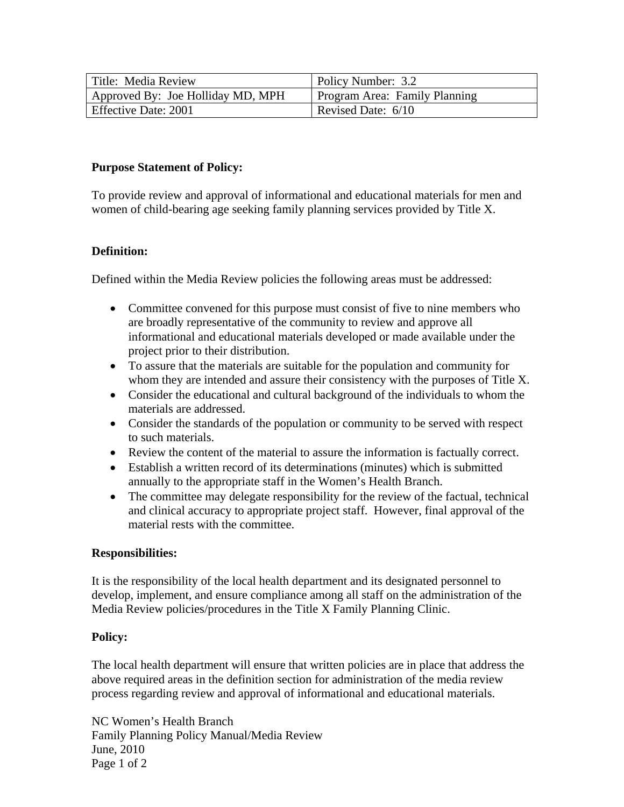| Title: Media Review               | Policy Number: 3.2            |
|-----------------------------------|-------------------------------|
| Approved By: Joe Holliday MD, MPH | Program Area: Family Planning |
| Effective Date: 2001              | Revised Date: 6/10            |

### **Purpose Statement of Policy:**

To provide review and approval of informational and educational materials for men and women of child-bearing age seeking family planning services provided by Title X.

### **Definition:**

Defined within the Media Review policies the following areas must be addressed:

- Committee convened for this purpose must consist of five to nine members who are broadly representative of the community to review and approve all informational and educational materials developed or made available under the project prior to their distribution.
- To assure that the materials are suitable for the population and community for whom they are intended and assure their consistency with the purposes of Title X.
- Consider the educational and cultural background of the individuals to whom the materials are addressed.
- Consider the standards of the population or community to be served with respect to such materials.
- Review the content of the material to assure the information is factually correct.
- Establish a written record of its determinations (minutes) which is submitted annually to the appropriate staff in the Women's Health Branch.
- The committee may delegate responsibility for the review of the factual, technical and clinical accuracy to appropriate project staff. However, final approval of the material rests with the committee.

#### **Responsibilities:**

It is the responsibility of the local health department and its designated personnel to develop, implement, and ensure compliance among all staff on the administration of the Media Review policies/procedures in the Title X Family Planning Clinic.

# **Policy:**

The local health department will ensure that written policies are in place that address the above required areas in the definition section for administration of the media review process regarding review and approval of informational and educational materials.

NC Women's Health Branch Family Planning Policy Manual/Media Review June, 2010 Page 1 of 2